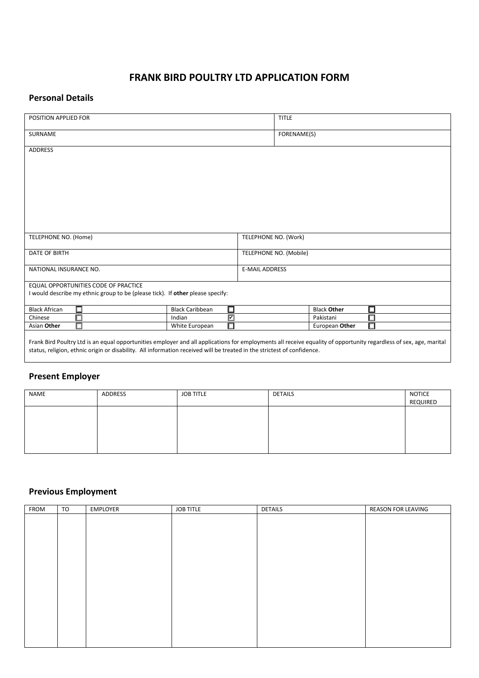# **FRANK BIRD POULTRY LTD APPLICATION FORM**

#### **Personal Details**

| POSITION APPLIED FOR                                                                                                                                                                                                                                                                          | <b>TITLE</b> |                        |                    |   |  |  |  |
|-----------------------------------------------------------------------------------------------------------------------------------------------------------------------------------------------------------------------------------------------------------------------------------------------|--------------|------------------------|--------------------|---|--|--|--|
| <b>SURNAME</b>                                                                                                                                                                                                                                                                                | FORENAME(S)  |                        |                    |   |  |  |  |
| <b>ADDRESS</b>                                                                                                                                                                                                                                                                                |              |                        |                    |   |  |  |  |
|                                                                                                                                                                                                                                                                                               |              |                        |                    |   |  |  |  |
|                                                                                                                                                                                                                                                                                               |              |                        |                    |   |  |  |  |
|                                                                                                                                                                                                                                                                                               |              |                        |                    |   |  |  |  |
|                                                                                                                                                                                                                                                                                               |              |                        |                    |   |  |  |  |
|                                                                                                                                                                                                                                                                                               |              |                        |                    |   |  |  |  |
|                                                                                                                                                                                                                                                                                               |              |                        |                    |   |  |  |  |
|                                                                                                                                                                                                                                                                                               |              |                        |                    |   |  |  |  |
| TELEPHONE NO. (Home)                                                                                                                                                                                                                                                                          |              | TELEPHONE NO. (Work)   |                    |   |  |  |  |
|                                                                                                                                                                                                                                                                                               |              |                        |                    |   |  |  |  |
| DATE OF BIRTH                                                                                                                                                                                                                                                                                 |              | TELEPHONE NO. (Mobile) |                    |   |  |  |  |
| NATIONAL INSURANCE NO.                                                                                                                                                                                                                                                                        |              | <b>E-MAIL ADDRESS</b>  |                    |   |  |  |  |
|                                                                                                                                                                                                                                                                                               |              |                        |                    |   |  |  |  |
| EQUAL OPPORTUNITIES CODE OF PRACTICE                                                                                                                                                                                                                                                          |              |                        |                    |   |  |  |  |
| I would describe my ethnic group to be (please tick). If other please specify:                                                                                                                                                                                                                |              |                        |                    |   |  |  |  |
| <b>Black African</b><br>□<br><b>Black Caribbean</b>                                                                                                                                                                                                                                           | 囗            |                        | <b>Black Other</b> |   |  |  |  |
| п<br>Chinese<br>Indian                                                                                                                                                                                                                                                                        | ⊠            |                        | Pakistani          |   |  |  |  |
| П<br>Asian Other<br>White European                                                                                                                                                                                                                                                            | □            |                        | European Other     | П |  |  |  |
|                                                                                                                                                                                                                                                                                               |              |                        |                    |   |  |  |  |
| Frank Bird Poultry Ltd is an equal opportunities employer and all applications for employments all receive equality of opportunity regardless of sex, age, marital<br>status, religion, ethnic origin or disability. All information received will be treated in the strictest of confidence. |              |                        |                    |   |  |  |  |

### **Present Employer**

| NAME | ADDRESS | <b>JOB TITLE</b> | <b>DETAILS</b> | notice<br>Required |
|------|---------|------------------|----------------|--------------------|
|      |         |                  |                |                    |
|      |         |                  |                |                    |
|      |         |                  |                |                    |

## **Previous Employment**

| <b>FROM</b> | TO | EMPLOYER | <b>JOB TITLE</b> | <b>DETAILS</b> | <b>REASON FOR LEAVING</b> |
|-------------|----|----------|------------------|----------------|---------------------------|
|             |    |          |                  |                |                           |
|             |    |          |                  |                |                           |
|             |    |          |                  |                |                           |
|             |    |          |                  |                |                           |
|             |    |          |                  |                |                           |
|             |    |          |                  |                |                           |
|             |    |          |                  |                |                           |
|             |    |          |                  |                |                           |
|             |    |          |                  |                |                           |
|             |    |          |                  |                |                           |
|             |    |          |                  |                |                           |
|             |    |          |                  |                |                           |
|             |    |          |                  |                |                           |
|             |    |          |                  |                |                           |